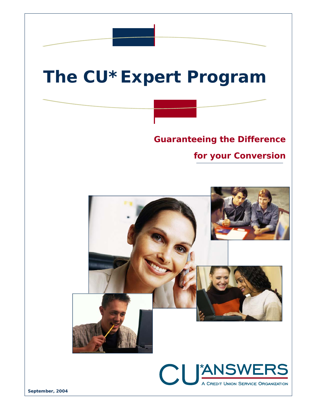## **The CU\*Expert Program**

*Guaranteeing the Difference* 

*for your Conversion* 



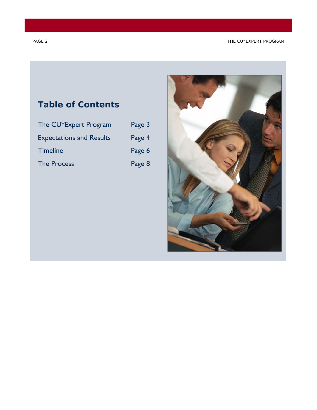#### PAGE 2 THE CU\*EXPERT PROGRAM

# **Table of Contents**  The CU\*Expert Program Page 3 Expectations and Results Page 4 Timeline **Page 6** The Process **Page 8**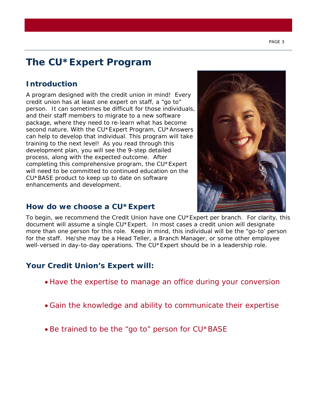### **The CU\*Expert Program**

### **Introduction**

A program designed with the credit union in mind! Every credit union has at least one expert on staff, a "go to" person. It can sometimes be difficult for those individuals, and their staff members to migrate to a new software package, where they need to re-learn what has become second nature. With the CU\*Expert Program, CU\*Answers can help to develop that individual. This program will take training to the next level! As you read through this development plan, you will see the 9-step detailed process, along with the expected outcome. After completing this comprehensive program, the CU\*Expert will need to be committed to continued education on the CU\*BASE product to keep up to date on software enhancements and development.

### **How do we choose a CU\*Expert**



To begin, we recommend the Credit Union have one CU\*Expert per branch. For clarity, this document will assume a single CU\*Expert. In most cases a credit union will designate more than one person for this role. Keep in mind, this individual will be the "go-to' person for the staff. He/she may be a Head Teller, a Branch Manager, or some other employee well-versed in day-to-day operations. The CU\*Expert should be in a leadership role.

### **Your Credit Union's Expert will:**

- *Have the expertise to manage an office during your conversion*
- *Gain the knowledge and ability to communicate their expertise*
- *Be trained to be the "go to" person for CU\*BASE*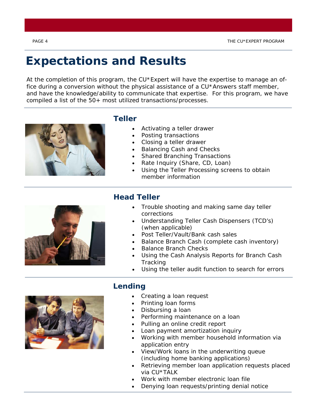PAGE 4 THE CU\*EXPERT PROGRAM

## **Expectations and Results**

*At the completion of this program, the CU\*Expert will have the expertise to manage an office during a conversion without the physical assistance of a CU\*Answers staff member, and have the knowledge/ability to communicate that expertise. For this program, we have compiled a list of the 50+ most utilized transactions/processes.* 



### **Teller**

- Activating a teller drawer
- Posting transactions
- Closing a teller drawer
- Balancing Cash and Checks
- Shared Branching Transactions
- Rate Inquiry (Share, CD, Loan)
- Using the Teller Processing screens to obtain member information



### **Head Teller**

- Trouble shooting and making same day teller corrections
- Understanding Teller Cash Dispensers (TCD's) (when applicable)
- Post Teller/Vault/Bank cash sales
- Balance Branch Cash (complete cash inventory)
- Balance Branch Checks
- Using the Cash Analysis Reports for Branch Cash **Tracking**
- Using the teller audit function to search for errors



### **Lending**

- Creating a loan request
- Printing loan forms
- Disbursing a loan
- Performing maintenance on a loan
- Pulling an online credit report
- Loan payment amortization inquiry
- Working with member household information via application entry
- View/Work loans in the underwriting queue (including home banking applications)
- Retrieving member loan application requests placed via CU\*TALK
- Work with member electronic loan file
- Denying loan requests/printing denial notice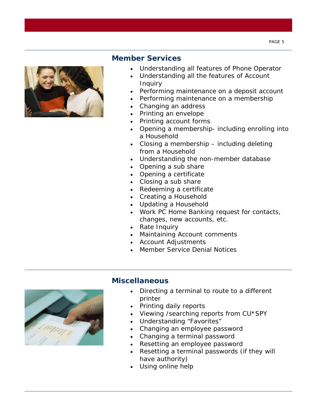

### **Member Services**

- Understanding all features of Phone Operator
- Understanding all the features of Account Inquiry
- Performing maintenance on a deposit account
- Performing maintenance on a membership
- Changing an address
- Printing an envelope
- Printing account forms
- Opening a membership- including enrolling into a Household
- Closing a membership including deleting from a Household
- Understanding the non-member database
- Opening a sub share
- Opening a certificate
- Closing a sub share
- Redeeming a certificate
- Creating a Household
- Updating a Household
- Work PC Home Banking request for contacts, changes, new accounts, etc.
- Rate Inquiry
- Maintaining Account comments
- Account Adjustments
- Member Service Denial Notices



#### **Miscellaneous**

- Directing a terminal to route to a different printer
- Printing daily reports
- Viewing /searching reports from CU\*SPY
- Understanding "Favorites"
- Changing an employee password
- Changing a terminal password
- Resetting an employee password
- Resetting a terminal passwords (if they will have authority)
- Using online help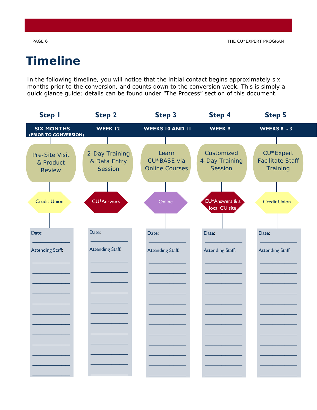### **Timeline**

*In the following timeline, you will notice that the initial contact begins approximately six months prior to the conversion, and counts down to the conversion week. This is simply a quick glance guide; details can be found under "The Process" section of this document.* 

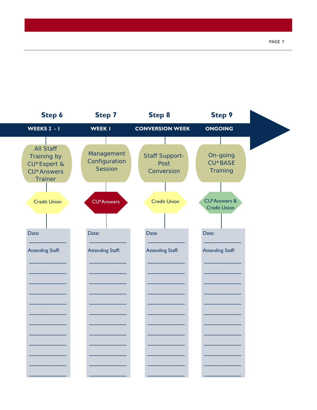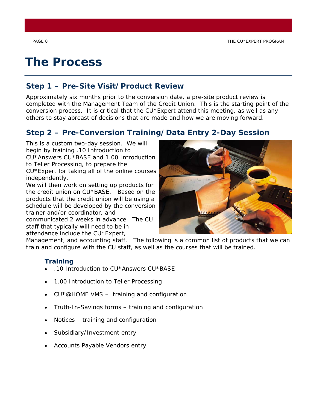### **The Process**

### **Step 1 – Pre-Site Visit/Product Review**

Approximately six months prior to the conversion date, a pre-site product review is completed with the Management Team of the Credit Union. This is the starting point of the conversion process. It is critical that the  $CU*Expert$  attend this meeting, as well as any others to stay abreast of decisions that are made and how we are moving forward.

### **Step 2 – Pre-Conversion Training/Data Entry 2-Day Session**

This is a custom two-day session. We will begin by training .10 Introduction to CU\*Answers CU\*BASE and 1.00 Introduction to Teller Processing, to prepare the CU\*Expert for taking all of the online courses

independently.

We will then work on setting up products for the credit union on CU\*BASE. Based on the products that the credit union will be using a schedule will be developed by the conversion trainer and/or coordinator, and

communicated 2 weeks in advance. The CU staff that typically will need to be in attendance include the CU\*Expert,



Management, and accounting staff. The following is a common list of products that we can train and configure with the CU staff, as well as the courses that will be trained.

### **Training**

- .10 Introduction to CU\*Answers CU\*BASE
- 1.00 Introduction to Teller Processing
- CU\*@HOME VMS training and configuration
- Truth-In-Savings forms training and configuration
- Notices training and configuration
- Subsidiary/Investment entry
- Accounts Payable Vendors entry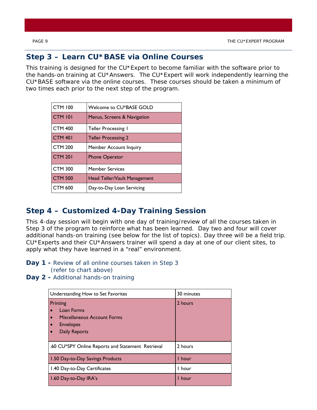### **Step 3 – Learn CU\*BASE via Online Courses**

This training is designed for the CU\*Expert to become familiar with the software prior to the hands-on training at CU\*Answers. The CU\*Expert will work independently learning the CU\*BASE software via the online courses. These courses should be taken a minimum of two times each prior to the next step of the program.

| <b>CTM 100</b> | Welcome to CU*BASE GOLD       |
|----------------|-------------------------------|
| <b>CTM 101</b> | Menus, Screens & Navigation   |
| <b>CTM 400</b> | Teller Processing I           |
| <b>CTM 401</b> | <b>Teller Processing 2</b>    |
| <b>CTM 200</b> | <b>Member Account Inquiry</b> |
| <b>CTM 201</b> | <b>Phone Operator</b>         |
| <b>CTM 300</b> | <b>Member Services</b>        |
| <b>CTM 500</b> | Head Teller/Vault Management  |
| <b>CTM 600</b> | Day-to-Day Loan Servicing     |

### **Step 4 – Customized 4-Day Training Session**

This 4-day session will begin with one day of training/review of all the courses taken in Step 3 of the program to reinforce what has been learned. Day two and four will cover additional hands-on training (see below for the list of topics). Day three will be a field trip. CU\*Experts and their CU\*Answers trainer will spend a day at one of our client sites, to apply what they have learned in a "real" environment.

- **Day 1** Review of all online courses taken in Step 3  *(refer to chart above)*
- Day 2 Additional hands-on training

| Understanding How to Set Favorites                                                                                                                    | 30 minutes |
|-------------------------------------------------------------------------------------------------------------------------------------------------------|------------|
| Printing<br>Loan Forms<br>$\bullet$<br>Miscellaneous Account Forms<br>$\bullet$<br><b>Envelopes</b><br>$\bullet$<br><b>Daily Reports</b><br>$\bullet$ | 2 hours    |
| .60 CU*SPY Online Reports and Statement Retrieval                                                                                                     | 2 hours    |
| 1.50 Day-to-Day Savings Products                                                                                                                      | I hour     |
| 1.40 Day-to-Day Certificates                                                                                                                          | I hour     |
| 1.60 Day-to-Day IRA's                                                                                                                                 | I hour     |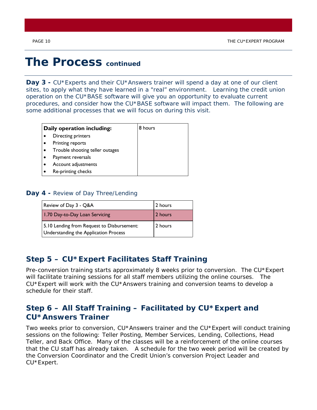### **The Process** *continued*

Day 3 - CU\*Experts and their CU\*Answers trainer will spend a day at one of our client sites, to apply what they have learned in a "real" environment. Learning the credit union operation on the CU\*BASE software will give you an opportunity to evaluate current procedures, and consider how the CU\*BASE software will impact them. The following are some additional processes that we will focus on during this visit.

| Daily operation including:      | 8 hours |
|---------------------------------|---------|
| Directing printers              |         |
| Printing reports                |         |
| Trouble shooting teller outages |         |
| Payment reversals               |         |
| Account adjustments             |         |
| Re-printing checks              |         |

#### **Day 4 -** Review of Day Three/Lending

| Review of Day 3 - Q&A                                                               | 2 hours |
|-------------------------------------------------------------------------------------|---------|
| 1.70 Day-to-Day Loan Servicing                                                      | 2 hours |
| 5.10 Lending from Request to Disbursement:<br>Understanding the Application Process | 2 hours |

### **Step 5 – CU\*Expert Facilitates Staff Training**

Pre-conversion training starts approximately 8 weeks prior to conversion. The CU\*Expert will facilitate training sessions for all staff members utilizing the online courses. The CU\*Expert will work with the CU\*Answers training and conversion teams to develop a schedule for their staff.

### **Step 6 – All Staff Training – Facilitated by CU\*Expert and CU\*Answers Trainer**

Two weeks prior to conversion, CU\*Answers trainer and the CU\*Expert will conduct training sessions on the following: Teller Posting, Member Services, Lending, Collections, Head Teller, and Back Office. Many of the classes will be a reinforcement of the online courses that the CU staff has already taken. A schedule for the two week period will be created by the Conversion Coordinator and the Credit Union's conversion Project Leader and CU\*Expert.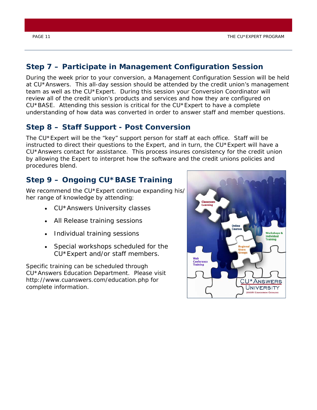### **Step 7 – Participate in Management Configuration Session**

During the week prior to your conversion, a Management Configuration Session will be held at CU\*Answers. This all-day session should be attended by the credit union's management team as well as the CU\*Expert. During this session your Conversion Coordinator will review all of the credit union's products and services and how they are configured on CU\*BASE. Attending this session is critical for the CU\*Expert to have a complete understanding of how data was converted in order to answer staff and member questions.

### **Step 8 – Staff Support - Post Conversion**

The CU\*Expert will be the "key" support person for staff at each office. Staff will be instructed to direct their questions to the Expert, and in turn, the CU\*Expert will have a CU\*Answers contact for assistance. This process insures consistency for the credit union by allowing the Expert to interpret how the software and the credit unions policies and procedures blend.

### **Step 9 – Ongoing CU\*BASE Training**

We recommend the CU\*Expert continue expanding his/ her range of knowledge by attending:

- CU\*Answers University classes
- All Release training sessions
- Individual training sessions
- Special workshops scheduled for the CU\*Expert and/or staff members.

Specific training can be scheduled through CU\*Answers Education Department. Please visit http://www.cuanswers.com/education.php for complete information.